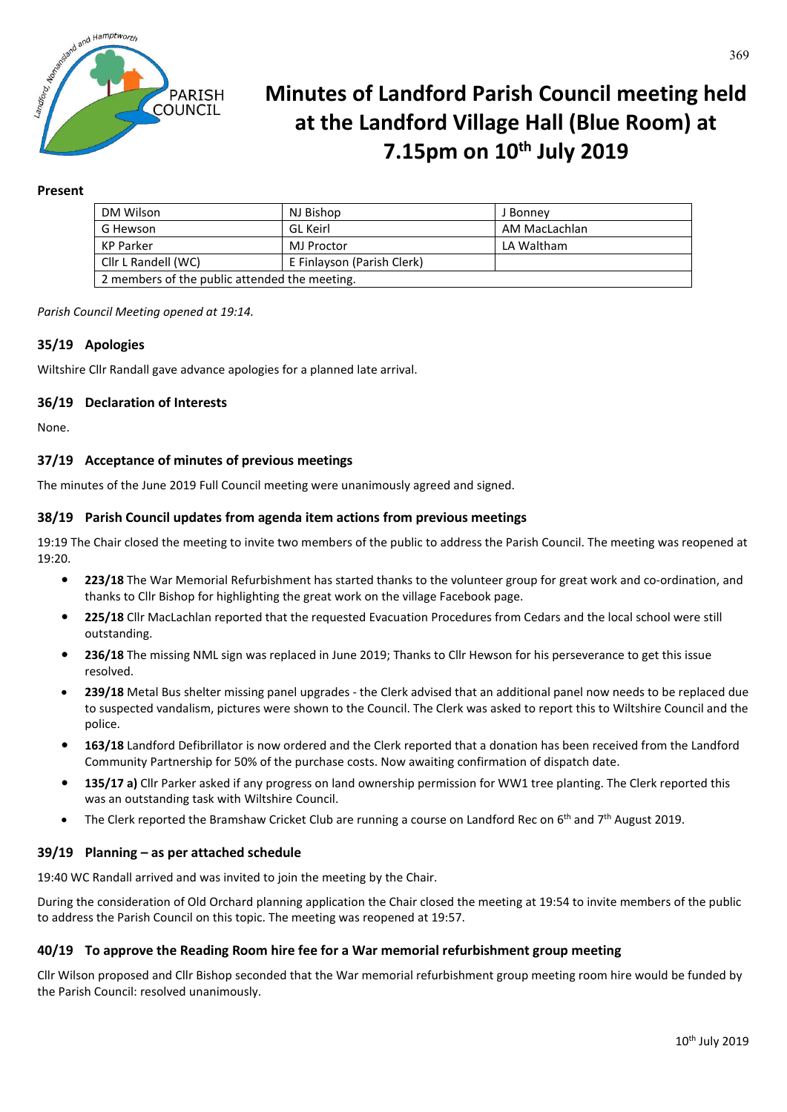

# **Minutes of Landford Parish Council meeting held at the Landford Village Hall (Blue Room) at 7.15pm on 10th July 2019**

### **Present**

| DM Wilson                                     | NJ Bishop                  | J Bonney      |
|-----------------------------------------------|----------------------------|---------------|
| G Hewson                                      | GL Keirl                   | AM MacLachlan |
| KP Parker                                     | MJ Proctor                 | LA Waltham    |
| Cllr L Randell (WC)                           | E Finlayson (Parish Clerk) |               |
| 2 members of the public attended the meeting. |                            |               |

*Parish Council Meeting opened at 19:14.*

## **35/19 Apologies**

Wiltshire Cllr Randall gave advance apologies for a planned late arrival.

#### **36/19 Declaration of Interests**

None.

#### **37/19 Acceptance of minutes of previous meetings**

The minutes of the June 2019 Full Council meeting were unanimously agreed and signed.

#### **38/19 Parish Council updates from agenda item actions from previous meetings**

19:19 The Chair closed the meeting to invite two members of the public to address the Parish Council. The meeting was reopened at 19:20.

- **• 223/18** The War Memorial Refurbishment has started thanks to the volunteer group for great work and co-ordination, and thanks to Cllr Bishop for highlighting the great work on the village Facebook page.
- **• 225/18** Cllr MacLachlan reported that the requested Evacuation Procedures from Cedars and the local school were still outstanding.
- **• 236/18** The missing NML sign was replaced in June 2019; Thanks to Cllr Hewson for his perseverance to get this issue resolved.
- **239/18** Metal Bus shelter missing panel upgrades the Clerk advised that an additional panel now needs to be replaced due to suspected vandalism, pictures were shown to the Council. The Clerk was asked to report this to Wiltshire Council and the police.
- **• 163/18** Landford Defibrillator is now ordered and the Clerk reported that a donation has been received from the Landford Community Partnership for 50% of the purchase costs. Now awaiting confirmation of dispatch date.
- **• 135/17 a)** Cllr Parker asked if any progress on land ownership permission for WW1 tree planting. The Clerk reported this was an outstanding task with Wiltshire Council.
- The Clerk reported the Bramshaw Cricket Club are running a course on Landford Rec on 6<sup>th</sup> and 7<sup>th</sup> August 2019.

#### **39/19 Planning – as per attached schedule**

19:40 WC Randall arrived and was invited to join the meeting by the Chair.

During the consideration of Old Orchard planning application the Chair closed the meeting at 19:54 to invite members of the public to address the Parish Council on this topic. The meeting was reopened at 19:57.

#### **40/19 To approve the Reading Room hire fee for a War memorial refurbishment group meeting**

Cllr Wilson proposed and Cllr Bishop seconded that the War memorial refurbishment group meeting room hire would be funded by the Parish Council: resolved unanimously.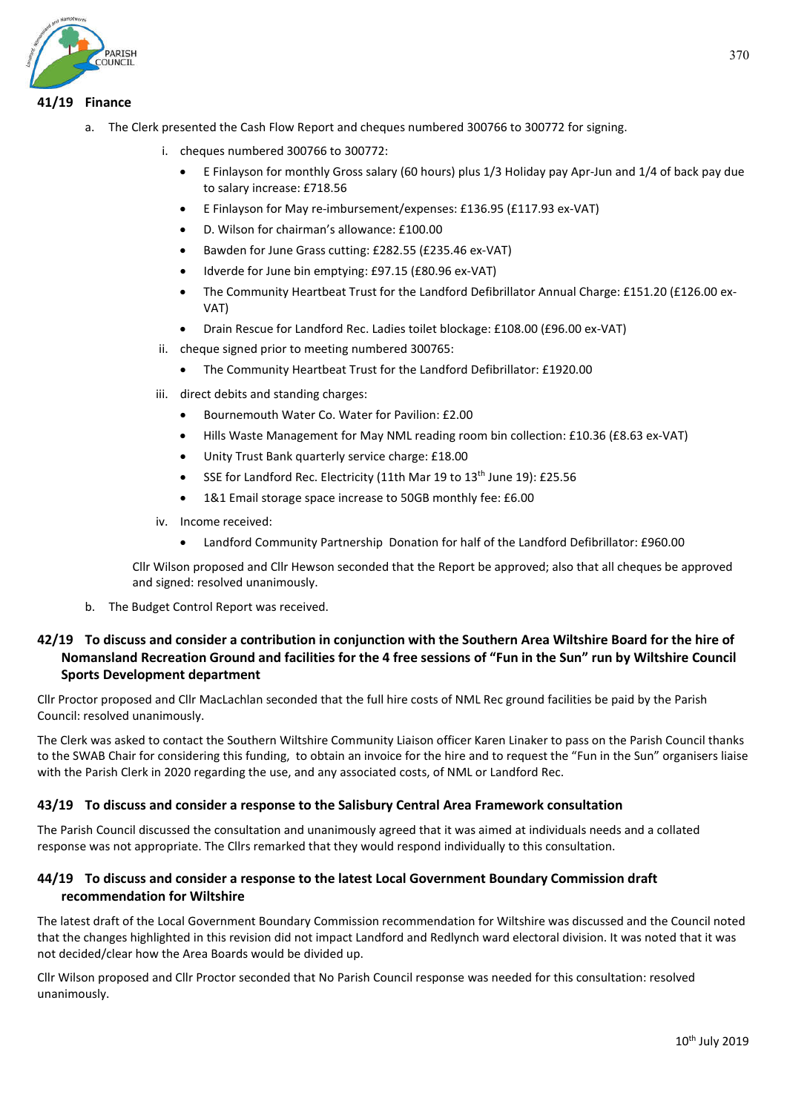# **41/19 Finance**

- a. The Clerk presented the Cash Flow Report and cheques numbered 300766 to 300772 for signing.
	- i. cheques numbered 300766 to 300772:
		- E Finlayson for monthly Gross salary (60 hours) plus 1/3 Holiday pay Apr-Jun and 1/4 of back pay due to salary increase: £718.56
		- E Finlayson for May re-imbursement/expenses: £136.95 (£117.93 ex-VAT)
		- D. Wilson for chairman's allowance: £100.00
		- Bawden for June Grass cutting: £282.55 (£235.46 ex-VAT)
		- Idverde for June bin emptying: £97.15 (£80.96 ex-VAT)
		- The Community Heartbeat Trust for the Landford Defibrillator Annual Charge: £151.20 (£126.00 ex-VAT)
		- Drain Rescue for Landford Rec. Ladies toilet blockage: £108.00 (£96.00 ex-VAT)
	- ii. cheque signed prior to meeting numbered 300765:
		- The Community Heartbeat Trust for the Landford Defibrillator: £1920.00
	- iii. direct debits and standing charges:
		- Bournemouth Water Co. Water for Pavilion: £2.00
		- Hills Waste Management for May NML reading room bin collection: £10.36 (£8.63 ex-VAT)
		- Unity Trust Bank quarterly service charge: £18.00
		- SSE for Landford Rec. Electricity (11th Mar 19 to 13<sup>th</sup> June 19): £25.56
		- 1&1 Email storage space increase to 50GB monthly fee: £6.00
	- iv. Income received:
		- Landford Community Partnership Donation for half of the Landford Defibrillator: £960.00

Cllr Wilson proposed and Cllr Hewson seconded that the Report be approved; also that all cheques be approved and signed: resolved unanimously.

b. The Budget Control Report was received.

# **42/19 To discuss and consider a contribution in conjunction with the Southern Area Wiltshire Board for the hire of Nomansland Recreation Ground and facilities for the 4 free sessions of "Fun in the Sun" run by Wiltshire Council Sports Development department**

Cllr Proctor proposed and Cllr MacLachlan seconded that the full hire costs of NML Rec ground facilities be paid by the Parish Council: resolved unanimously.

The Clerk was asked to contact the Southern Wiltshire Community Liaison officer Karen Linaker to pass on the Parish Council thanks to the SWAB Chair for considering this funding, to obtain an invoice for the hire and to request the "Fun in the Sun" organisers liaise with the Parish Clerk in 2020 regarding the use, and any associated costs, of NML or Landford Rec.

## **43/19 To discuss and consider a response to the Salisbury Central Area Framework consultation**

The Parish Council discussed the consultation and unanimously agreed that it was aimed at individuals needs and a collated response was not appropriate. The Cllrs remarked that they would respond individually to this consultation.

# **44/19 To discuss and consider a response to the latest Local Government Boundary Commission draft recommendation for Wiltshire**

The latest draft of the Local Government Boundary Commission recommendation for Wiltshire was discussed and the Council noted that the changes highlighted in this revision did not impact Landford and Redlynch ward electoral division. It was noted that it was not decided/clear how the Area Boards would be divided up.

Cllr Wilson proposed and Cllr Proctor seconded that No Parish Council response was needed for this consultation: resolved unanimously.